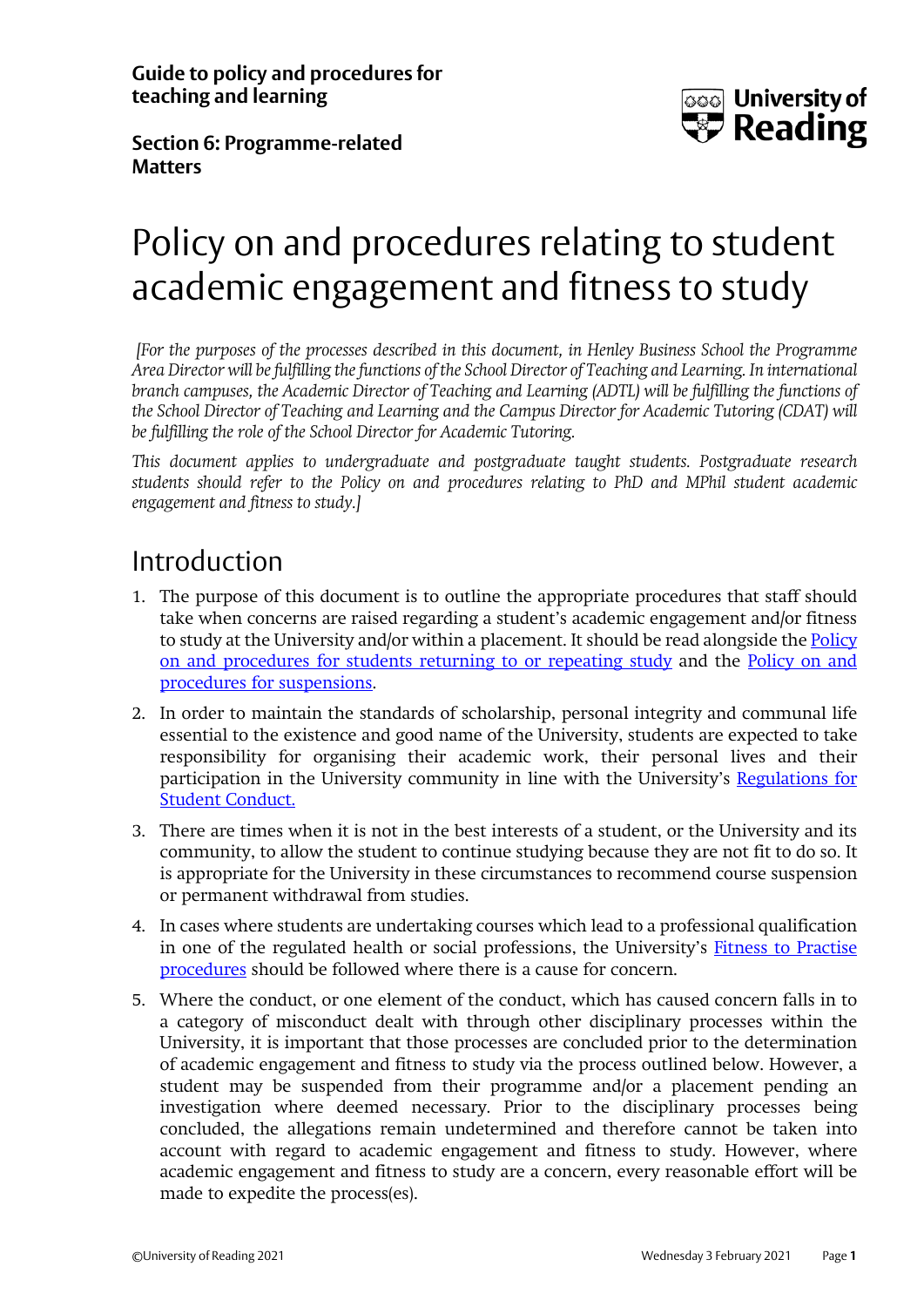**Guide to policy and procedures for teaching and learning**



**Section 6: Programme-related Matters**

# Policy on and procedures relating to student academic engagement and fitness to study

*[For the purposes of the processes described in this document, in Henley Business School the Programme Area Director will be fulfilling the functions of the School Director of Teaching and Learning. In international branch campuses, the Academic Director of Teaching and Learning (ADTL) will be fulfilling the functions of the School Director of Teaching and Learning and the Campus Director for Academic Tutoring (CDAT) will be fulfilling the role of the School Director for Academic Tutoring.*

*This document applies to undergraduate and postgraduate taught students. Postgraduate research students should refer to the Policy on and procedures relating to PhD and MPhil student academic engagement and fitness to study.]*

#### Introduction

- 1. The purpose of this document is to outline the appropriate procedures that staff should take when concerns are raised regarding a student's academic engagement and/or fitness to study at the University and/or within a placement. It should be read alongside th[e Policy](http://www.reading.ac.uk/web/files/qualitysupport/returntostudy.pdf)  [on and procedures for students returning to or repeating study](http://www.reading.ac.uk/web/files/qualitysupport/returntostudy.pdf) and the [Policy on and](http://www.reading.ac.uk/web/files/qualitysupport/suspensions.pdf)  [procedures for suspensions.](http://www.reading.ac.uk/web/files/qualitysupport/suspensions.pdf)
- 2. In order to maintain the standards of scholarship, personal integrity and communal life essential to the existence and good name of the University, students are expected to take responsibility for organising their academic work, their personal lives and their participation in the University community in line with the University's [Regulations for](https://www.reading.ac.uk/essentials/the-important-stuff/values-and-behaviours/regulations-for-conduct)  [Student Conduct.](https://www.reading.ac.uk/essentials/the-important-stuff/values-and-behaviours/regulations-for-conduct)
- 3. There are times when it is not in the best interests of a student, or the University and its community, to allow the student to continue studying because they are not fit to do so. It is appropriate for the University in these circumstances to recommend course suspension or permanent withdrawal from studies.
- 4. In cases where students are undertaking courses which lead to a professional qualification in one of the regulated health or social professions, the University's [Fitness to Practise](http://www.reading.ac.uk/web/files/qualitysupport/FitnesstoPractise.pdf) [procedures](http://www.reading.ac.uk/web/files/qualitysupport/FitnesstoPractise.pdf) should be followed where there is a cause for concern.
- 5. Where the conduct, or one element of the conduct, which has caused concern falls in to a category of misconduct dealt with through other disciplinary processes within the University, it is important that those processes are concluded prior to the determination of academic engagement and fitness to study via the process outlined below. However, a student may be suspended from their programme and/or a placement pending an investigation where deemed necessary. Prior to the disciplinary processes being concluded, the allegations remain undetermined and therefore cannot be taken into account with regard to academic engagement and fitness to study. However, where academic engagement and fitness to study are a concern, every reasonable effort will be made to expedite the process(es).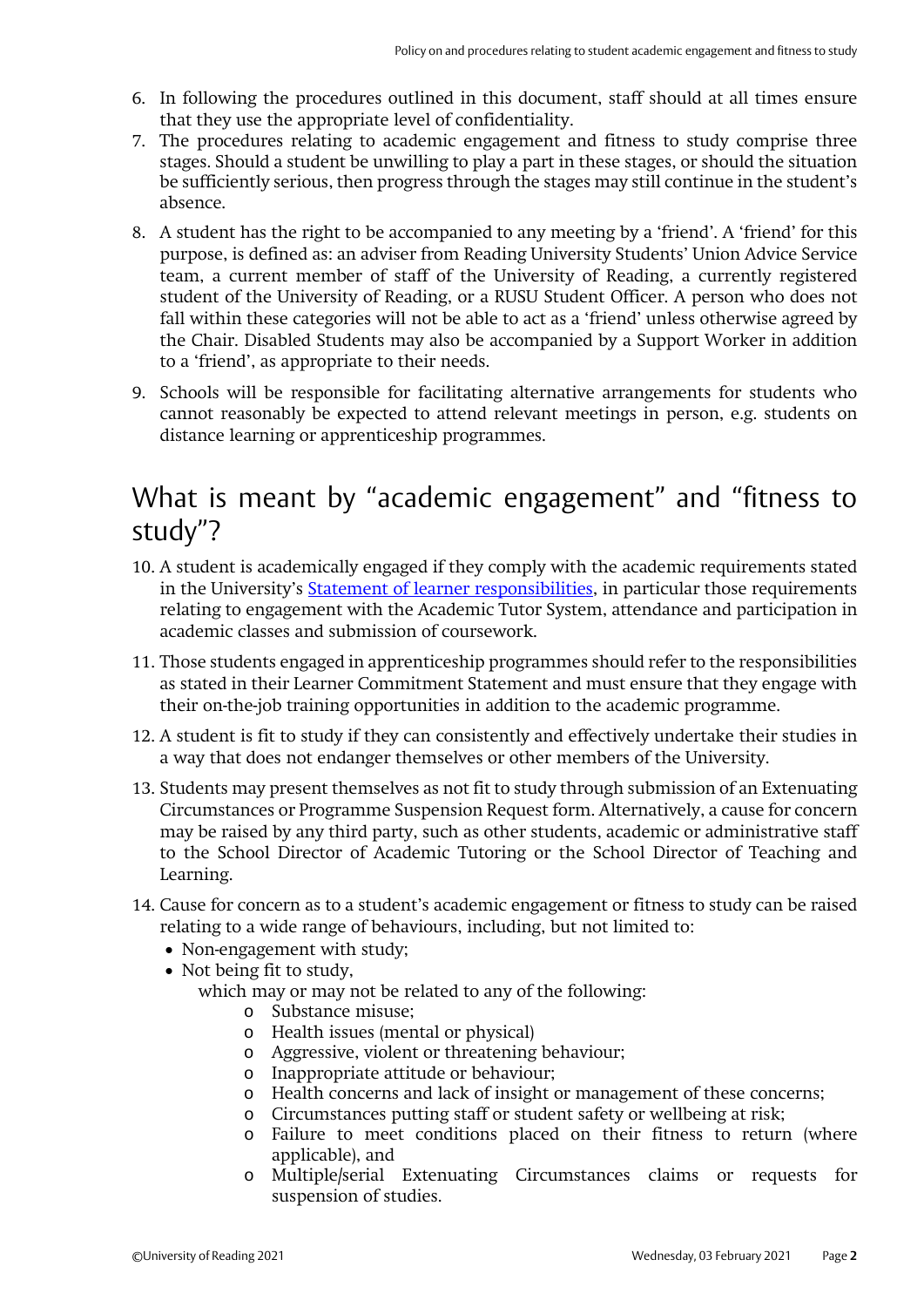- 6. In following the procedures outlined in this document, staff should at all times ensure that they use the appropriate level of confidentiality.
- 7. The procedures relating to academic engagement and fitness to study comprise three stages. Should a student be unwilling to play a part in these stages, or should the situation be sufficiently serious, then progress through the stages may still continue in the student's absence.
- 8. A student has the right to be accompanied to any meeting by a 'friend'. A 'friend' for this purpose, is defined as: an adviser from Reading University Students' Union Advice Service team, a current member of staff of the University of Reading, a currently registered student of the University of Reading, or a RUSU Student Officer. A person who does not fall within these categories will not be able to act as a 'friend' unless otherwise agreed by the Chair. Disabled Students may also be accompanied by a Support Worker in addition to a 'friend', as appropriate to their needs.
- 9. Schools will be responsible for facilitating alternative arrangements for students who cannot reasonably be expected to attend relevant meetings in person, e.g. students on distance learning or apprenticeship programmes.

## What is meant by "academic engagement" and "fitness to study"?

- 10. A student is academically engaged if they comply with the academic requirements stated in the University's [Statement of learner responsibilities,](http://www.reading.ac.uk/web/FILES/qualitysupport/learnerresponsibilities.pdf) in particular those requirements relating to engagement with the Academic Tutor System, attendance and participation in academic classes and submission of coursework.
- 11. Those students engaged in apprenticeship programmes should refer to the responsibilities as stated in their Learner Commitment Statement and must ensure that they engage with their on-the-job training opportunities in addition to the academic programme.
- 12. A student is fit to study if they can consistently and effectively undertake their studies in a way that does not endanger themselves or other members of the University.
- 13. Students may present themselves as not fit to study through submission of an Extenuating Circumstances or Programme Suspension Request form. Alternatively, a cause for concern may be raised by any third party, such as other students, academic or administrative staff to the School Director of Academic Tutoring or the School Director of Teaching and Learning.
- 14. Cause for concern as to a student's academic engagement or fitness to study can be raised relating to a wide range of behaviours, including, but not limited to:
	- Non-engagement with study;
	- Not being fit to study,
		- which may or may not be related to any of the following:
			- o Substance misuse;
			- o Health issues (mental or physical)
			- o Aggressive, violent or threatening behaviour;
			- o Inappropriate attitude or behaviour;
			- o Health concerns and lack of insight or management of these concerns;
			- o Circumstances putting staff or student safety or wellbeing at risk;
			- o Failure to meet conditions placed on their fitness to return (where applicable), and
			- o Multiple/serial Extenuating Circumstances claims or requests for suspension of studies.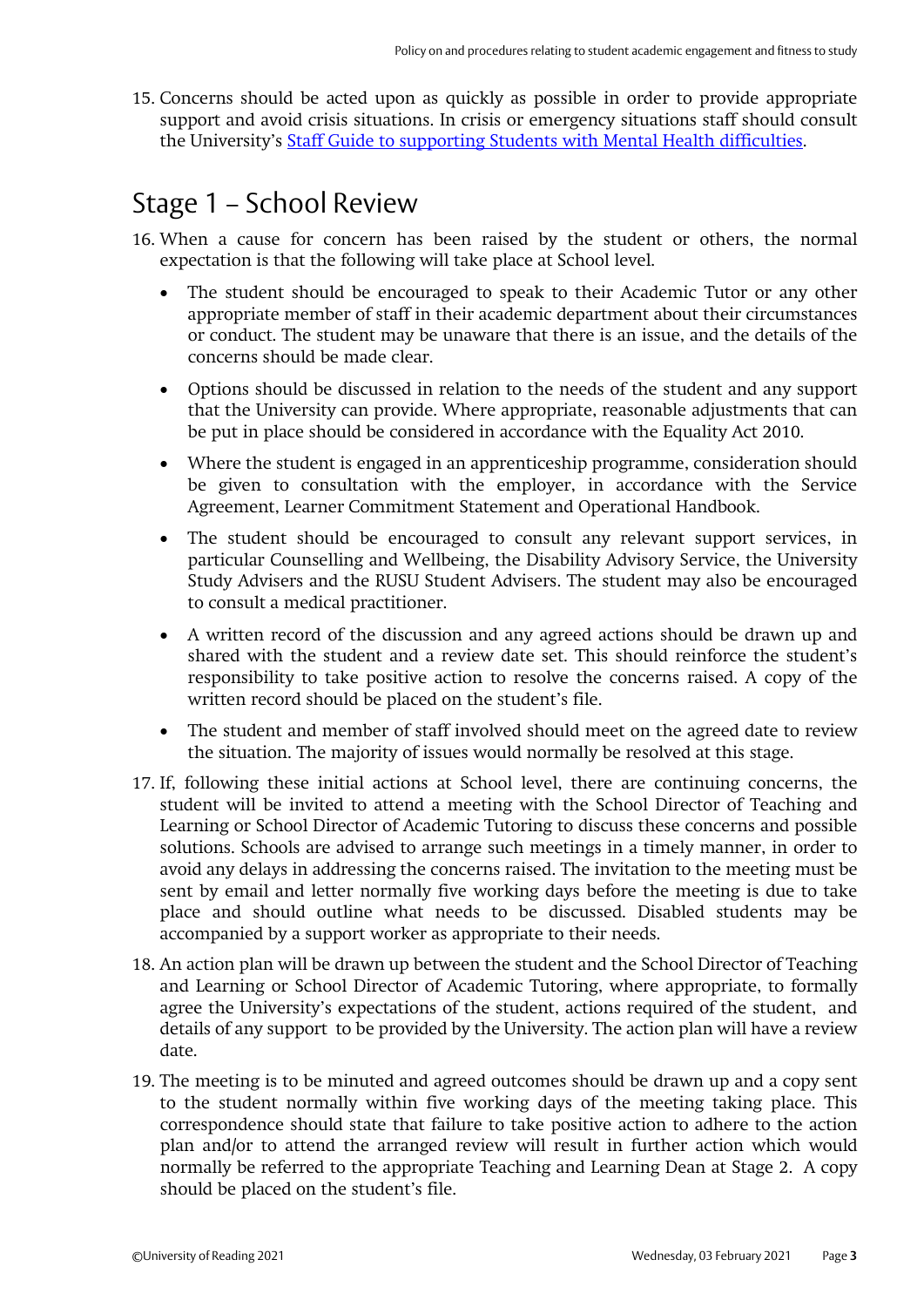15. Concerns should be acted upon as quickly as possible in order to provide appropriate support and avoid crisis situations. In crisis or emergency situations staff should consult the University's [Staff Guide to supporting Students with Mental Health difficulties.](http://www.reading.ac.uk/web/FILES/personaltutor/Supporting_-_Mental_Health_Difficulties.pdf)

## Stage 1 – School Review

- 16. When a cause for concern has been raised by the student or others, the normal expectation is that the following will take place at School level.
	- The student should be encouraged to speak to their Academic Tutor or any other appropriate member of staff in their academic department about their circumstances or conduct. The student may be unaware that there is an issue, and the details of the concerns should be made clear.
	- Options should be discussed in relation to the needs of the student and any support that the University can provide. Where appropriate, reasonable adjustments that can be put in place should be considered in accordance with the Equality Act 2010.
	- Where the student is engaged in an apprenticeship programme, consideration should be given to consultation with the employer, in accordance with the Service Agreement, Learner Commitment Statement and Operational Handbook.
	- The student should be encouraged to consult any relevant support services, in particular Counselling and Wellbeing, the Disability Advisory Service, the University Study Advisers and the RUSU Student Advisers. The student may also be encouraged to consult a medical practitioner.
	- A written record of the discussion and any agreed actions should be drawn up and shared with the student and a review date set. This should reinforce the student's responsibility to take positive action to resolve the concerns raised. A copy of the written record should be placed on the student's file.
	- The student and member of staff involved should meet on the agreed date to review the situation. The majority of issues would normally be resolved at this stage.
- 17. If, following these initial actions at School level, there are continuing concerns, the student will be invited to attend a meeting with the School Director of Teaching and Learning or School Director of Academic Tutoring to discuss these concerns and possible solutions. Schools are advised to arrange such meetings in a timely manner, in order to avoid any delays in addressing the concerns raised. The invitation to the meeting must be sent by email and letter normally five working days before the meeting is due to take place and should outline what needs to be discussed. Disabled students may be accompanied by a support worker as appropriate to their needs.
- 18. An action plan will be drawn up between the student and the School Director of Teaching and Learning or School Director of Academic Tutoring, where appropriate, to formally agree the University's expectations of the student, actions required of the student, and details of any support to be provided by the University. The action plan will have a review date.
- 19. The meeting is to be minuted and agreed outcomes should be drawn up and a copy sent to the student normally within five working days of the meeting taking place. This correspondence should state that failure to take positive action to adhere to the action plan and/or to attend the arranged review will result in further action which would normally be referred to the appropriate Teaching and Learning Dean at Stage 2. A copy should be placed on the student's file.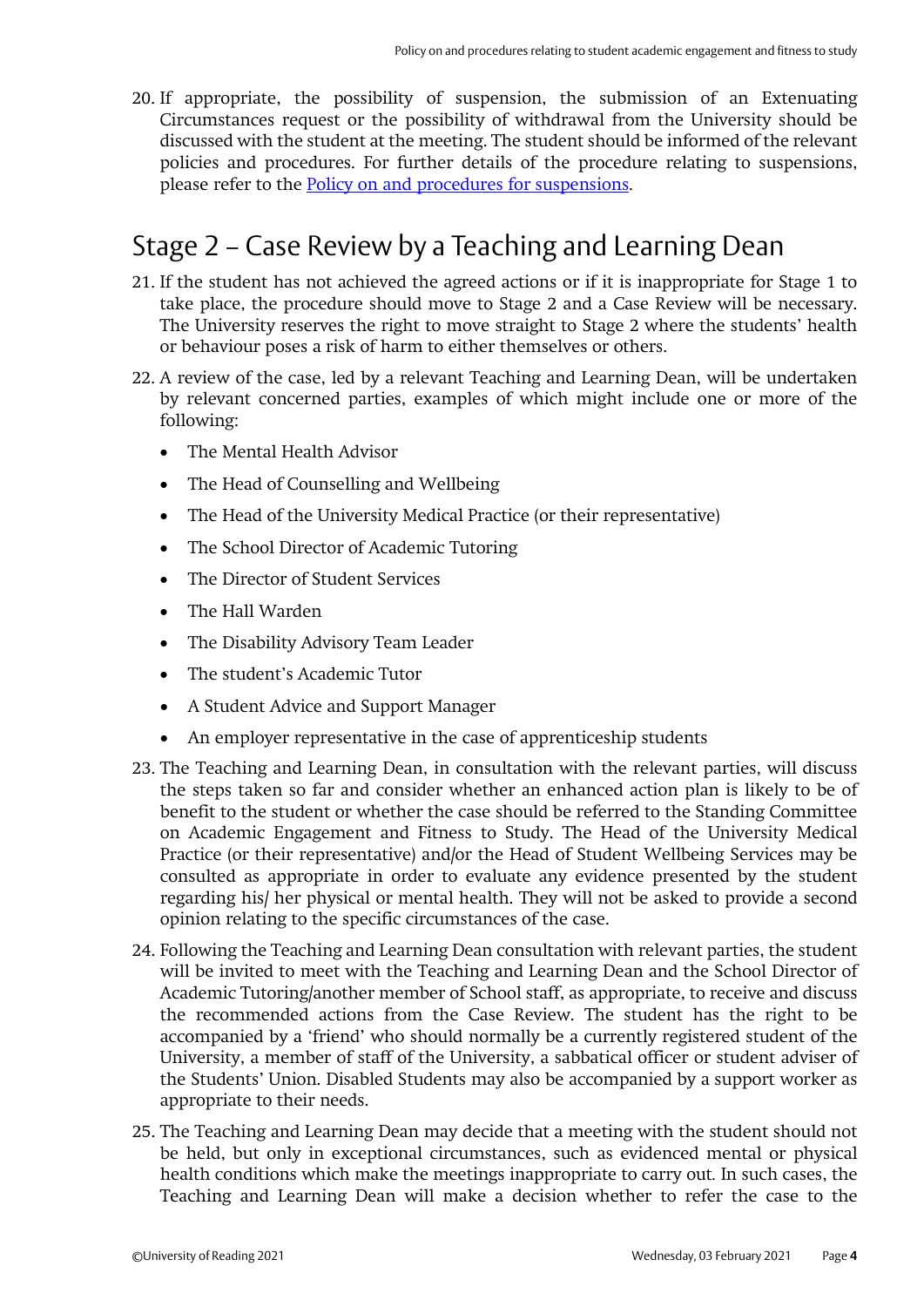20. If appropriate, the possibility of suspension, the submission of an Extenuating Circumstances request or the possibility of withdrawal from the University should be discussed with the student at the meeting. The student should be informed of the relevant policies and procedures. For further details of the procedure relating to suspensions, please refer to the [Policy on and procedures for suspensions.](http://www.reading.ac.uk/web/files/qualitysupport/suspensions.pdf)

## Stage 2 – Case Review by a Teaching and Learning Dean

- 21. If the student has not achieved the agreed actions or if it is inappropriate for Stage 1 to take place, the procedure should move to Stage 2 and a Case Review will be necessary. The University reserves the right to move straight to Stage 2 where the students' health or behaviour poses a risk of harm to either themselves or others.
- 22. A review of the case, led by a relevant Teaching and Learning Dean, will be undertaken by relevant concerned parties, examples of which might include one or more of the following:
	- The Mental Health Advisor
	- The Head of Counselling and Wellbeing
	- The Head of the University Medical Practice (or their representative)
	- The School Director of Academic Tutoring
	- The Director of Student Services
	- The Hall Warden
	- The Disability Advisory Team Leader
	- The student's Academic Tutor
	- A Student Advice and Support Manager
	- An employer representative in the case of apprenticeship students
- 23. The Teaching and Learning Dean, in consultation with the relevant parties, will discuss the steps taken so far and consider whether an enhanced action plan is likely to be of benefit to the student or whether the case should be referred to the Standing Committee on Academic Engagement and Fitness to Study. The Head of the University Medical Practice (or their representative) and/or the Head of Student Wellbeing Services may be consulted as appropriate in order to evaluate any evidence presented by the student regarding his/ her physical or mental health. They will not be asked to provide a second opinion relating to the specific circumstances of the case.
- 24. Following the Teaching and Learning Dean consultation with relevant parties, the student will be invited to meet with the Teaching and Learning Dean and the School Director of Academic Tutoring/another member of School staff, as appropriate, to receive and discuss the recommended actions from the Case Review. The student has the right to be accompanied by a 'friend' who should normally be a currently registered student of the University, a member of staff of the University, a sabbatical officer or student adviser of the Students' Union. Disabled Students may also be accompanied by a support worker as appropriate to their needs.
- 25. The Teaching and Learning Dean may decide that a meeting with the student should not be held, but only in exceptional circumstances, such as evidenced mental or physical health conditions which make the meetings inappropriate to carry out*.* In such cases, the Teaching and Learning Dean will make a decision whether to refer the case to the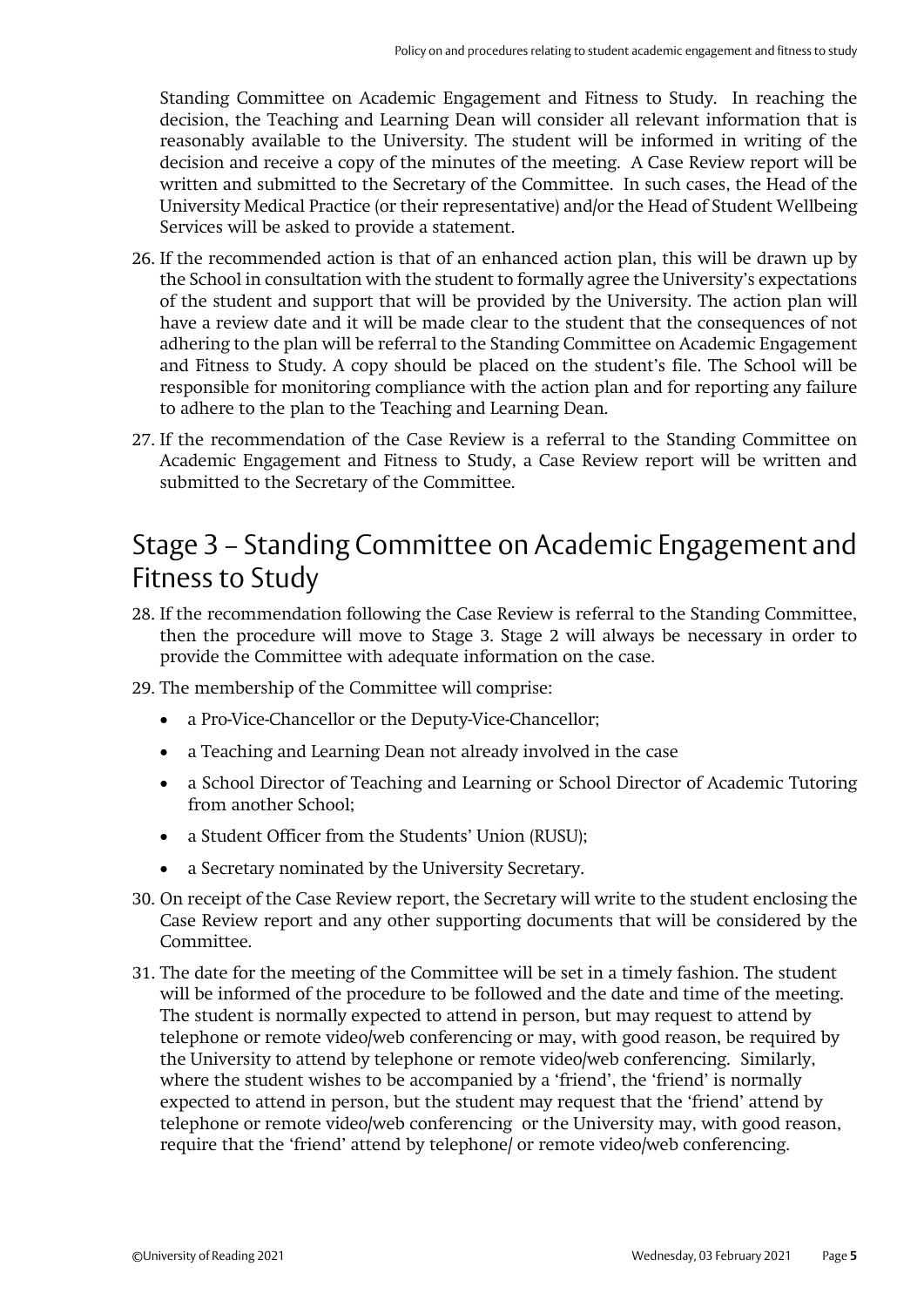Standing Committee on Academic Engagement and Fitness to Study. In reaching the decision, the Teaching and Learning Dean will consider all relevant information that is reasonably available to the University. The student will be informed in writing of the decision and receive a copy of the minutes of the meeting. A Case Review report will be written and submitted to the Secretary of the Committee. In such cases, the Head of the University Medical Practice (or their representative) and/or the Head of Student Wellbeing Services will be asked to provide a statement.

- 26. If the recommended action is that of an enhanced action plan, this will be drawn up by the School in consultation with the student to formally agree the University's expectations of the student and support that will be provided by the University. The action plan will have a review date and it will be made clear to the student that the consequences of not adhering to the plan will be referral to the Standing Committee on Academic Engagement and Fitness to Study. A copy should be placed on the student's file. The School will be responsible for monitoring compliance with the action plan and for reporting any failure to adhere to the plan to the Teaching and Learning Dean.
- 27. If the recommendation of the Case Review is a referral to the Standing Committee on Academic Engagement and Fitness to Study, a Case Review report will be written and submitted to the Secretary of the Committee.

## Stage 3 – Standing Committee on Academic Engagement and Fitness to Study

- 28. If the recommendation following the Case Review is referral to the Standing Committee, then the procedure will move to Stage 3. Stage 2 will always be necessary in order to provide the Committee with adequate information on the case.
- 29. The membership of the Committee will comprise:
	- a Pro-Vice-Chancellor or the Deputy-Vice-Chancellor;
	- a Teaching and Learning Dean not already involved in the case
	- a School Director of Teaching and Learning or School Director of Academic Tutoring from another School;
	- a Student Officer from the Students' Union (RUSU);
	- a Secretary nominated by the University Secretary.
- 30. On receipt of the Case Review report, the Secretary will write to the student enclosing the Case Review report and any other supporting documents that will be considered by the Committee.
- 31. The date for the meeting of the Committee will be set in a timely fashion. The student will be informed of the procedure to be followed and the date and time of the meeting. The student is normally expected to attend in person, but may request to attend by telephone or remote video/web conferencing or may, with good reason, be required by the University to attend by telephone or remote video/web conferencing. Similarly, where the student wishes to be accompanied by a 'friend', the 'friend' is normally expected to attend in person, but the student may request that the 'friend' attend by telephone or remote video/web conferencing or the University may, with good reason, require that the 'friend' attend by telephone/ or remote video/web conferencing.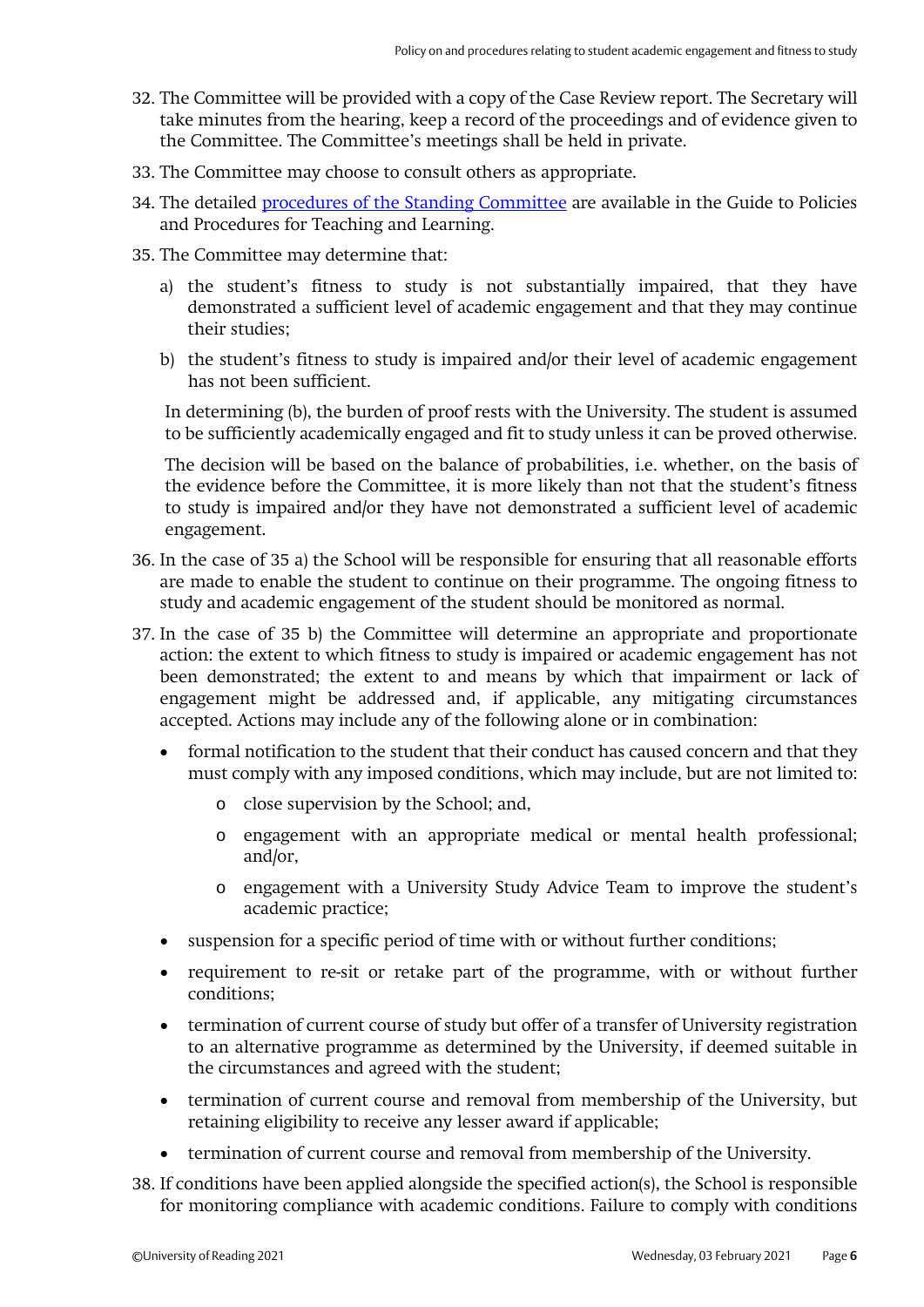- 32. The Committee will be provided with a copy of the Case Review report. The Secretary will take minutes from the hearing, keep a record of the proceedings and of evidence given to the Committee. The Committee's meetings shall be held in private.
- 33. The Committee may choose to consult others as appropriate.
- 34. The detailed [procedures of the Standing Committee](http://www.reading.ac.uk/web/files/qualitysupport/SCAEFSprocedures.pdf) are available in the Guide to Policies and Procedures for Teaching and Learning.
- 35. The Committee may determine that:
	- a) the student's fitness to study is not substantially impaired, that they have demonstrated a sufficient level of academic engagement and that they may continue their studies;
	- b) the student's fitness to study is impaired and/or their level of academic engagement has not been sufficient.

In determining (b), the burden of proof rests with the University. The student is assumed to be sufficiently academically engaged and fit to study unless it can be proved otherwise.

The decision will be based on the balance of probabilities, i.e. whether, on the basis of the evidence before the Committee, it is more likely than not that the student's fitness to study is impaired and/or they have not demonstrated a sufficient level of academic engagement.

- 36. In the case of 35 a) the School will be responsible for ensuring that all reasonable efforts are made to enable the student to continue on their programme. The ongoing fitness to study and academic engagement of the student should be monitored as normal.
- 37. In the case of 35 b) the Committee will determine an appropriate and proportionate action: the extent to which fitness to study is impaired or academic engagement has not been demonstrated; the extent to and means by which that impairment or lack of engagement might be addressed and, if applicable, any mitigating circumstances accepted. Actions may include any of the following alone or in combination:
	- formal notification to the student that their conduct has caused concern and that they must comply with any imposed conditions, which may include, but are not limited to:
		- o close supervision by the School; and,
		- o engagement with an appropriate medical or mental health professional; and/or,
		- o engagement with a University Study Advice Team to improve the student's academic practice;
	- suspension for a specific period of time with or without further conditions;
	- requirement to re-sit or retake part of the programme, with or without further conditions;
	- termination of current course of study but offer of a transfer of University registration to an alternative programme as determined by the University, if deemed suitable in the circumstances and agreed with the student;
	- termination of current course and removal from membership of the University, but retaining eligibility to receive any lesser award if applicable;
	- termination of current course and removal from membership of the University.
- 38. If conditions have been applied alongside the specified action(s), the School is responsible for monitoring compliance with academic conditions. Failure to comply with conditions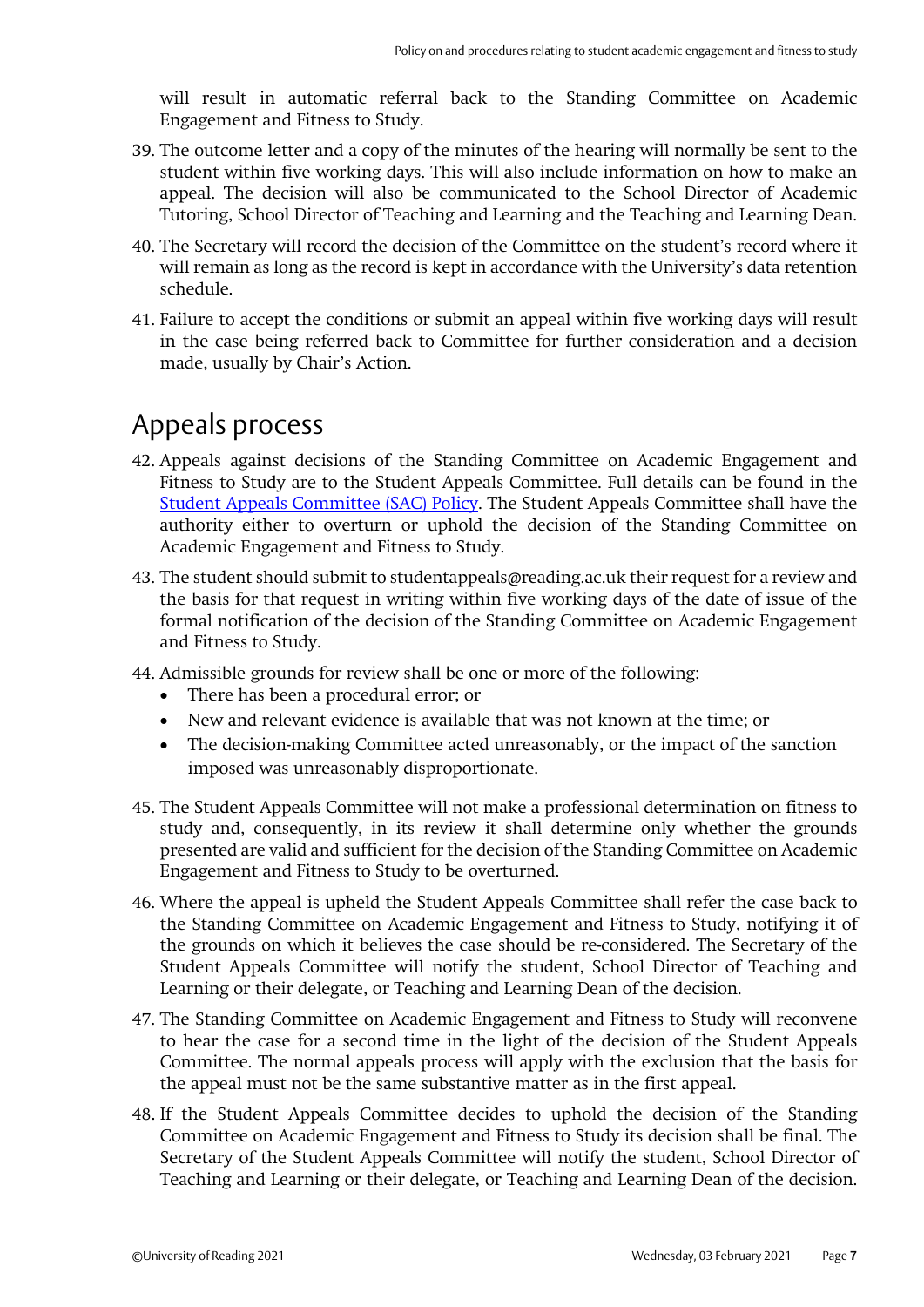will result in automatic referral back to the Standing Committee on Academic Engagement and Fitness to Study.

- 39. The outcome letter and a copy of the minutes of the hearing will normally be sent to the student within five working days. This will also include information on how to make an appeal. The decision will also be communicated to the School Director of Academic Tutoring, School Director of Teaching and Learning and the Teaching and Learning Dean.
- 40. The Secretary will record the decision of the Committee on the student's record where it will remain as long as the record is kept in accordance with the University's data retention schedule.
- 41. Failure to accept the conditions or submit an appeal within five working days will result in the case being referred back to Committee for further consideration and a decision made, usually by Chair's Action.

## Appeals process

- 42. Appeals against decisions of the Standing Committee on Academic Engagement and Fitness to Study are to the Student Appeals Committee. Full details can be found in the Student Appeals [Committee \(SAC\) Policy.](https://www.reading.ac.uk/essentials/-/media/essentials/files/student-appeals-committee-procedure---0121-final-210122.pdf) The Student Appeals Committee shall have the authority either to overturn or uphold the decision of the Standing Committee on Academic Engagement and Fitness to Study.
- 43. The student should submit to studentappeals@reading.ac.uk their request for a review and the basis for that request in writing within five working days of the date of issue of the formal notification of the decision of the Standing Committee on Academic Engagement and Fitness to Study.
- 44. Admissible grounds for review shall be one or more of the following:
	- There has been a procedural error; or
	- New and relevant evidence is available that was not known at the time; or
	- The decision-making Committee acted unreasonably, or the impact of the sanction imposed was unreasonably disproportionate.
- 45. The Student Appeals Committee will not make a professional determination on fitness to study and, consequently, in its review it shall determine only whether the grounds presented are valid and sufficient for the decision of the Standing Committee on Academic Engagement and Fitness to Study to be overturned.
- 46. Where the appeal is upheld the Student Appeals Committee shall refer the case back to the Standing Committee on Academic Engagement and Fitness to Study, notifying it of the grounds on which it believes the case should be re-considered. The Secretary of the Student Appeals Committee will notify the student, School Director of Teaching and Learning or their delegate, or Teaching and Learning Dean of the decision.
- 47. The Standing Committee on Academic Engagement and Fitness to Study will reconvene to hear the case for a second time in the light of the decision of the Student Appeals Committee. The normal appeals process will apply with the exclusion that the basis for the appeal must not be the same substantive matter as in the first appeal.
- 48. If the Student Appeals Committee decides to uphold the decision of the Standing Committee on Academic Engagement and Fitness to Study its decision shall be final. The Secretary of the Student Appeals Committee will notify the student, School Director of Teaching and Learning or their delegate, or Teaching and Learning Dean of the decision.